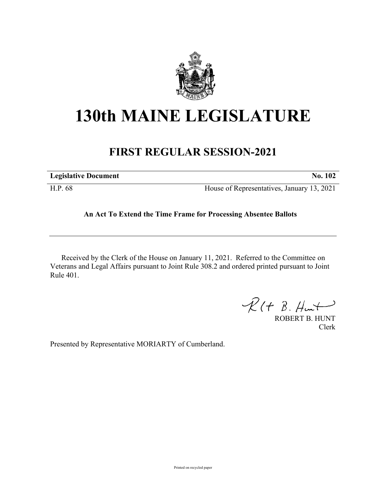

## **130th MAINE LEGISLATURE**

## **FIRST REGULAR SESSION-2021**

| <b>Legislative Document</b> | <b>No. 102</b>                             |
|-----------------------------|--------------------------------------------|
| H.P. 68                     | House of Representatives, January 13, 2021 |

## **An Act To Extend the Time Frame for Processing Absentee Ballots**

Received by the Clerk of the House on January 11, 2021. Referred to the Committee on Veterans and Legal Affairs pursuant to Joint Rule 308.2 and ordered printed pursuant to Joint Rule 401.

 $R(H B. H<sub>un</sub>+)$ 

ROBERT B. HUNT Clerk

Presented by Representative MORIARTY of Cumberland.